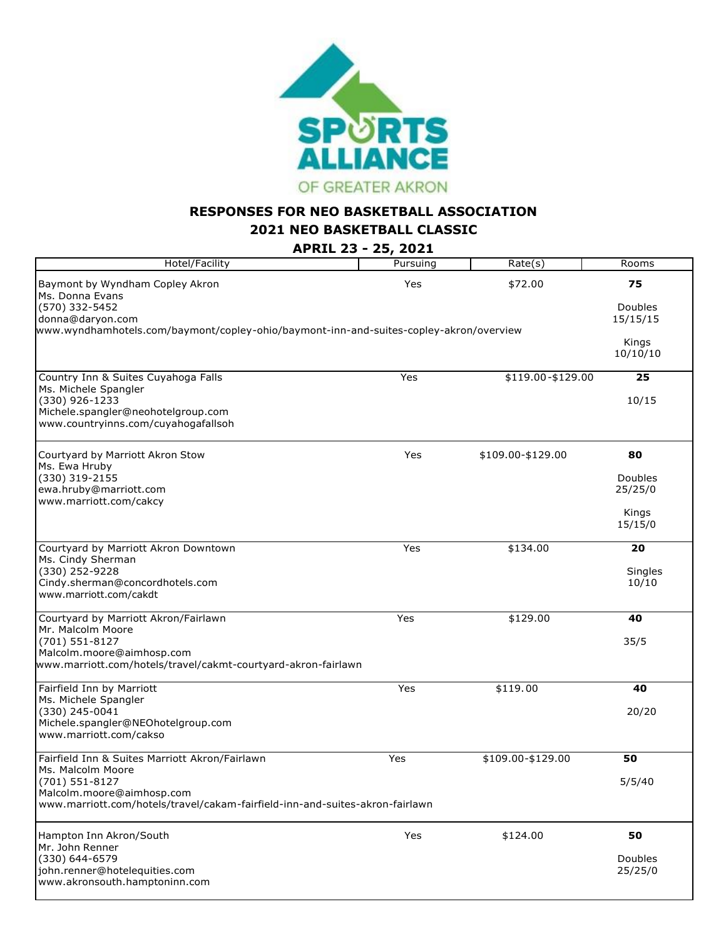

## **RESPONSES FOR NEO BASKETBALL ASSOCIATION**

**2021 NEO BASKETBALL CLASSIC**

**APRIL 23 - 25, 2021**

| Hotel/Facility                                                                         | Pursuing | Rate(s)           | Rooms             |
|----------------------------------------------------------------------------------------|----------|-------------------|-------------------|
| Baymont by Wyndham Copley Akron<br>Ms. Donna Evans                                     | Yes      | \$72.00           | 75                |
| (570) 332-5452<br>donna@daryon.com                                                     |          |                   | Doubles           |
| www.wyndhamhotels.com/baymont/copley-ohio/baymont-inn-and-suites-copley-akron/overview |          |                   | 15/15/15          |
|                                                                                        |          |                   | Kings<br>10/10/10 |
| Country Inn & Suites Cuyahoga Falls                                                    | Yes      | \$119.00-\$129.00 | 25                |
| Ms. Michele Spangler<br>(330) 926-1233                                                 |          |                   | 10/15             |
| Michele.spangler@neohotelgroup.com                                                     |          |                   |                   |
| www.countryinns.com/cuyahogafallsoh                                                    |          |                   |                   |
| Courtyard by Marriott Akron Stow<br>Ms. Ewa Hruby                                      | Yes      | \$109.00-\$129.00 | 80                |
| (330) 319-2155                                                                         |          |                   | Doubles           |
| ewa.hruby@marriott.com<br>www.marriott.com/cakcy                                       |          |                   | 25/25/0           |
|                                                                                        |          |                   | Kings<br>15/15/0  |
| Courtyard by Marriott Akron Downtown                                                   | Yes      | \$134.00          | 20                |
| Ms. Cindy Sherman<br>(330) 252-9228                                                    |          |                   | Singles           |
| Cindy.sherman@concordhotels.com                                                        |          |                   | 10/10             |
| www.marriott.com/cakdt                                                                 |          |                   |                   |
| Courtyard by Marriott Akron/Fairlawn                                                   | Yes      | \$129.00          | 40                |
| Mr. Malcolm Moore<br>(701) 551-8127                                                    |          |                   | 35/5              |
| Malcolm.moore@aimhosp.com                                                              |          |                   |                   |
| www.marriott.com/hotels/travel/cakmt-courtyard-akron-fairlawn                          |          |                   |                   |
| Fairfield Inn by Marriott                                                              | Yes      | \$119.00          | 40                |
| Ms. Michele Spangler<br>(330) 245-0041                                                 |          |                   | 20/20             |
| Michele.spangler@NEOhotelgroup.com                                                     |          |                   |                   |
| www.marriott.com/cakso                                                                 |          |                   |                   |
| Fairfield Inn & Suites Marriott Akron/Fairlawn<br>Ms. Malcolm Moore                    | Yes      | \$109.00-\$129.00 | 50                |
| (701) 551-8127                                                                         |          |                   | 5/5/40            |
| Malcolm.moore@aimhosp.com                                                              |          |                   |                   |
| www.marriott.com/hotels/travel/cakam-fairfield-inn-and-suites-akron-fairlawn           |          |                   |                   |
| Hampton Inn Akron/South<br>Mr. John Renner                                             | Yes      | \$124.00          | 50                |
| (330) 644-6579                                                                         |          |                   | Doubles           |
| john.renner@hotelequities.com                                                          |          |                   | 25/25/0           |
| www.akronsouth.hamptoninn.com                                                          |          |                   |                   |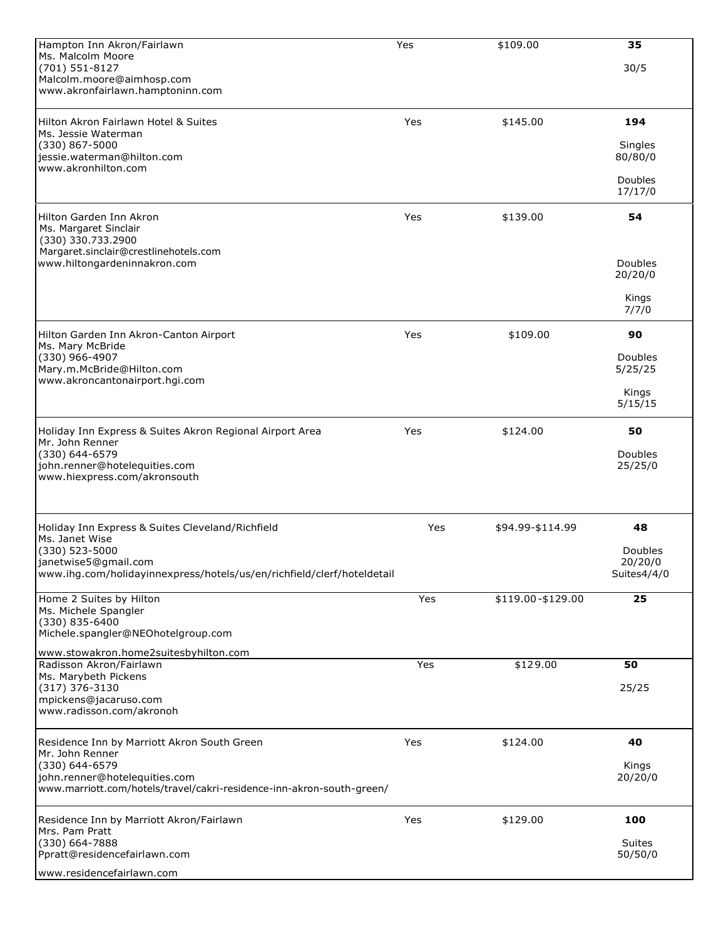| Hampton Inn Akron/Fairlawn                                             | Yes | \$109.00          | 35                     |
|------------------------------------------------------------------------|-----|-------------------|------------------------|
| Ms. Malcolm Moore<br>(701) 551-8127                                    |     |                   | 30/5                   |
| Malcolm.moore@aimhosp.com                                              |     |                   |                        |
| www.akronfairlawn.hamptoninn.com                                       |     |                   |                        |
| Hilton Akron Fairlawn Hotel & Suites                                   | Yes | \$145.00          | 194                    |
| Ms. Jessie Waterman                                                    |     |                   |                        |
| $(330)$ 867-5000<br>jessie.waterman@hilton.com                         |     |                   | Singles<br>80/80/0     |
| www.akronhilton.com                                                    |     |                   |                        |
|                                                                        |     |                   | Doubles<br>17/17/0     |
| Hilton Garden Inn Akron                                                | Yes | \$139.00          | 54                     |
| Ms. Margaret Sinclair                                                  |     |                   |                        |
| (330) 330.733.2900<br>Margaret.sinclair@crestlinehotels.com            |     |                   |                        |
| www.hiltongardeninnakron.com                                           |     |                   | Doubles                |
|                                                                        |     |                   | 20/20/0                |
|                                                                        |     |                   | Kings<br>7/7/0         |
|                                                                        |     |                   |                        |
| Hilton Garden Inn Akron-Canton Airport<br>Ms. Mary McBride             | Yes | \$109.00          | 90                     |
| (330) 966-4907                                                         |     |                   | Doubles                |
| Mary.m.McBride@Hilton.com<br>www.akroncantonairport.hgi.com            |     |                   | 5/25/25                |
|                                                                        |     |                   | Kings                  |
|                                                                        |     |                   | 5/15/15                |
| Holiday Inn Express & Suites Akron Regional Airport Area               | Yes | \$124.00          | 50                     |
| Mr. John Renner<br>(330) 644-6579                                      |     |                   | Doubles                |
| john.renner@hotelequities.com                                          |     |                   | 25/25/0                |
| www.hiexpress.com/akronsouth                                           |     |                   |                        |
|                                                                        |     |                   |                        |
| Holiday Inn Express & Suites Cleveland/Richfield                       | Yes | \$94.99-\$114.99  | 48                     |
| Ms. Janet Wise<br>(330) 523-5000                                       |     |                   | Doubles                |
| janetwise5@gmail.com                                                   |     |                   | 20/20/0<br>Suites4/4/0 |
| www.ihg.com/holidayinnexpress/hotels/us/en/richfield/clerf/hoteldetail |     |                   |                        |
| Home 2 Suites by Hilton                                                | Yes | \$119.00-\$129.00 | 25                     |
| Ms. Michele Spangler<br>(330) 835-6400                                 |     |                   |                        |
| Michele.spangler@NEOhotelgroup.com                                     |     |                   |                        |
| www.stowakron.home2suitesbyhilton.com                                  |     |                   |                        |
| Radisson Akron/Fairlawn<br>Ms. Marybeth Pickens                        | Yes | \$129.00          | 50                     |
| (317) 376-3130<br>mpickens@jacaruso.com                                |     |                   | 25/25                  |
| www.radisson.com/akronoh                                               |     |                   |                        |
|                                                                        |     |                   | 40                     |
| Residence Inn by Marriott Akron South Green<br>Mr. John Renner         | Yes | \$124.00          |                        |
| (330) 644-6579<br>john.renner@hotelequities.com                        |     |                   | Kings<br>20/20/0       |
| www.marriott.com/hotels/travel/cakri-residence-inn-akron-south-green/  |     |                   |                        |
|                                                                        |     |                   |                        |
| Residence Inn by Marriott Akron/Fairlawn<br>Mrs. Pam Pratt             | Yes | \$129.00          | 100                    |
| (330) 664-7888                                                         |     |                   | <b>Suites</b>          |
| Ppratt@residencefairlawn.com                                           |     |                   | 50/50/0                |
| www.residencefairlawn.com                                              |     |                   |                        |